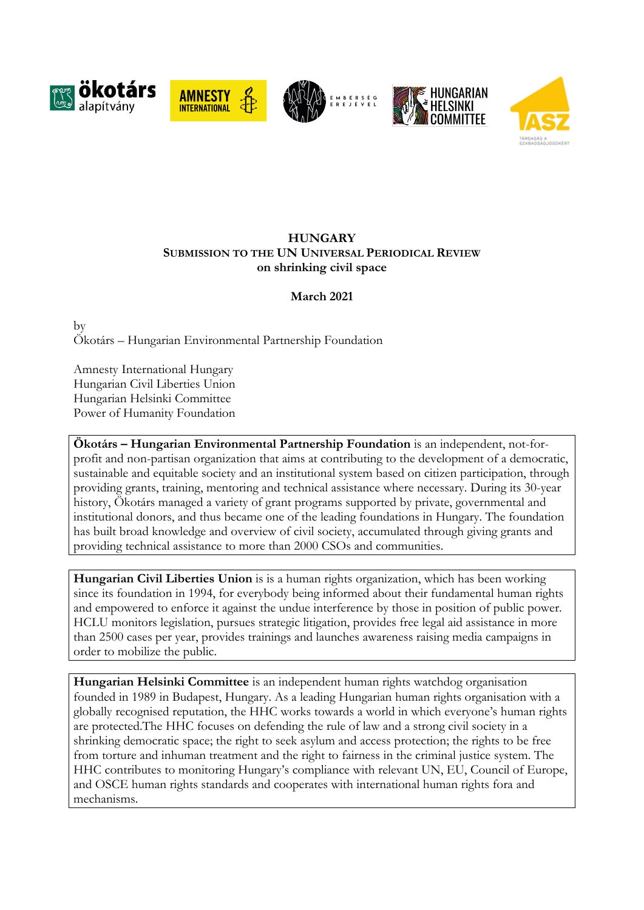









# **HUNGARY SUBMISSION TO THE UN UNIVERSAL PERIODICAL REVIEW on shrinking civil space**

**March 2021**

by Ökotárs – Hungarian Environmental Partnership Foundation

Amnesty International Hungary Hungarian Civil Liberties Union Hungarian Helsinki Committee Power of Humanity Foundation

**Ökotárs – Hungarian Environmental Partnership Foundation** is an independent, not-forprofit and non-partisan organization that aims at contributing to the development of <sup>a</sup> democratic, sustainable and equitable society and an institutional system based on citizen participation, through providing grants, training, mentoring and technical assistance where necessary. During its 30-year history, Ökotárs manage<sup>d</sup> <sup>a</sup> variety of grant programs supporte<sup>d</sup> by private, governmenta<sup>l</sup> and institutional donors, and thus became one of the leading foundations in Hungary. The foundation has built broad knowledge and overview of civil society, accumulated through giving grants and providing technical assistance to more than 2000 CSOs and communities.

**Hungarian Civil Liberties Union** is is <sup>a</sup> human rights organization, which has been working since its foundation in 1994, for everybody being informed about their fundamental human rights and empowered to enforce it against the undue interference by those in position of public power. HCLU monitors legislation, pursues strategic litigation, provides free legal aid assistance in more than 2500 cases per year, provides trainings and launches awareness raising media campaigns in order to mobilize the public.

**Hungarian Helsinki Committee** is an independent human rights watchdog organisation founded in 1989 in Budapest, Hungary. As <sup>a</sup> leading Hungarian human rights organisation with <sup>a</sup> globally recognised reputation, the HHC works towards <sup>a</sup> world in which everyone'<sup>s</sup> human rights are protected.The HHC focuses on defending the rule of law and <sup>a</sup> strong civil society in <sup>a</sup> shrinking democratic space; the right to seek asylum and access protection; the rights to be free from torture and inhuman treatment and the right to fairness in the criminal justice system. The HHC contributes to monitoring Hungary'<sup>s</sup> compliance with relevant UN, EU, Council of Europe, and OSCE human rights standards and cooperates with international human rights fora and mechanisms.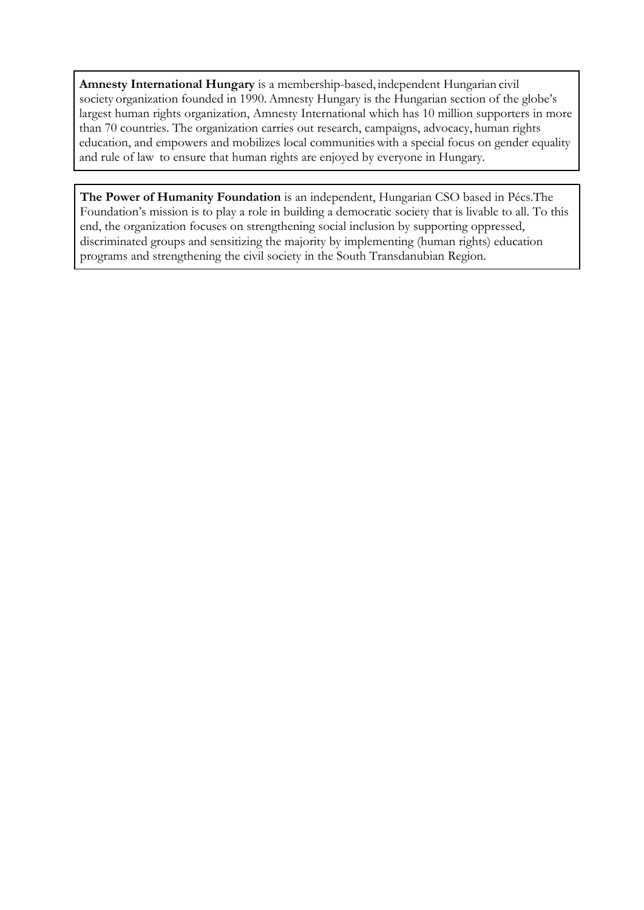**Amnesty International Hungary** is <sup>a</sup> membership-based, independent Hungarian civil society organization founded in 1990. Amnesty Hungary is the Hungarian section of the globe's largest human rights organization, Amnesty International which has 10 million supporters in more than 70 countries. The organization carries out research, campaigns, advocacy, human rights education, and empowers and mobilizes local communities with <sup>a</sup> special focus on gender equality and rule of law to ensure that human rights are enjoyed by everyone in Hungary.

**The Power of Humanity Foundation** is an independent, Hungarian CSO based in Pécs.The Foundation'<sup>s</sup> mission is to play <sup>a</sup> role in building <sup>a</sup> democratic society that is livable to all. To this end, the organization focuses on strengthening social inclusion by supporting oppressed, discriminated groups and sensitizing the majority by implementing (human rights) education programs and strengthening the civil society in the South Transdanubian Region.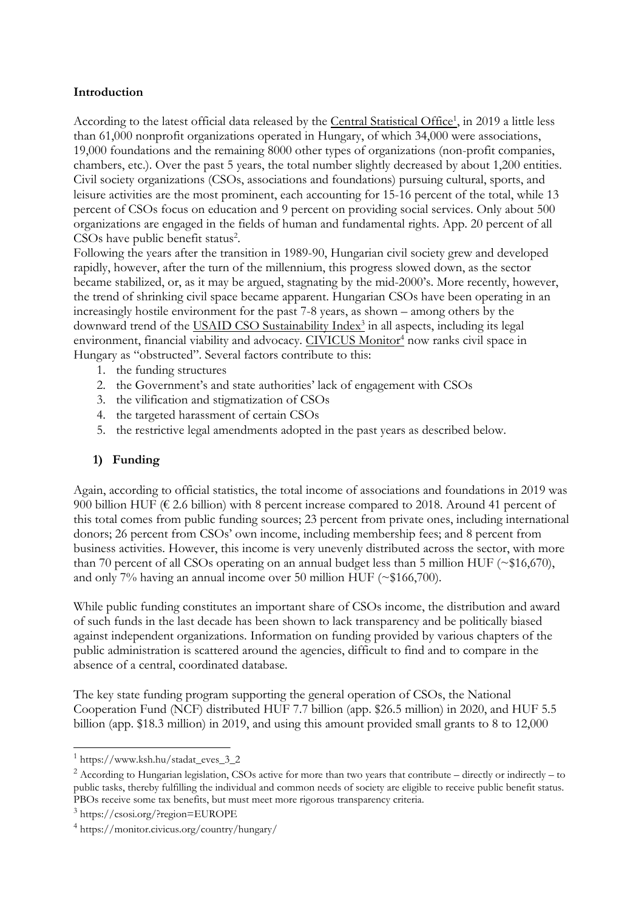### **Introduction**

According to the latest official data released by the <u>Central [Statistical](https://www.ksh.hu/stadat_eves_3_2) Office<sup>1</sup>,</u> in 2019 a little less than 61,000 nonprofit organizations operated in Hungary, of which 34,000 were associations, 19,000 foundations and the remaining 8000 other types of organizations (non-profit companies, chambers, etc.). Over the past 5 years, the total number slightly decreased by about 1,200 entities. Civil society organizations (CSOs, associations and foundations) pursuing cultural, sports, and leisure activities are the most prominent, each accounting for 15-16 percent of the total, while 13 percent of CSOs focus on education and 9 percent on providing social services. Only about 500 organizations are engaged in the fields of human and fundamental rights. App. 20 percent of all CSOs have public benefit status<sup>2</sup>.

Following the years after the transition in 1989-90, Hungarian civil society grew and developed rapidly, however, after the turn of the millennium, this progress slowed down, as the sector became stabilized, or, as it may be argued, stagnating by the mid-2000's. More recently, however, the trend of shrinking civil space became apparent. Hungarian CSOs have been operating in an increasingly hostile environment for the past 7-8 years, as shown – among others by the downward trend of the <u>USAID CSO [Sustainability](https://csosi.org/?region=EUROPE) Index<sup>3</sup></u> in all aspects, including its legal environment, financial viability and advocacy. <u>[CIVICUS](https://monitor.civicus.org/country/hungary/) Monitor<sup>4</sup></u> now ranks civil space in Hungary as "obstructed". Several factors contribute to this:

- 1. the funding structures
- 2. the Government'<sup>s</sup> and state authorities' lack of engagement with CSOs
- 3. the vilification and stigmatization of CSOs
- 4. the targeted harassment of certain CSOs
- 5. the restrictive legal amendments adopted in the past years as described below.

# **1) Funding**

Again, according to official statistics, the total income of associations and foundations in 2019 was 900 billion HUF ( $\epsilon$  2.6 billion) with 8 percent increase compared to 2018. Around 41 percent of this total comes from public funding sources; 23 percent from private ones, including international donors; 26 percent from CSOs' own income, including membership fees; and 8 percent from business activities. However, this income is very unevenly distributed across the sector, with more than 70 percent of all CSOs operating on an annual budget less than 5 million HUF ( $\sim$ \$16,670), and only 7% having an annual income over 50 million HUF (~\$166,700).

While public funding constitutes an important share of CSOs income, the distribution and award of such funds in the last decade has been shown to lack transparency and be politically biased against independent organizations. Information on funding provided by various chapters of the public administration is scattered around the agencies, difficult to find and to compare in the absence of <sup>a</sup> central, coordinated database.

The key state funding program supporting the general operation of CSOs, the National Cooperation Fund (NCF) distributed HUF 7.7 billion (app. \$26.5 million) in 2020, and HUF 5.5 billion (app. \$18.3 million) in 2019, and using this amount provided small grants to 8 to 12,000

<sup>1</sup>https://www.ksh.hu/stadat\_eves\_3\_2

 $^2$  According to Hungarian legislation, CSOs active for more than two years that contribute – directly or indirectly – to public tasks, thereby fulfilling the individual and common needs of society are eligible to receive public benefit status. PBOs receive some tax benefits, but must meet more rigorous transparency criteria.

<sup>3</sup> https://csosi.org/?region=EUROPE

<sup>4</sup> https://monitor.civicus.org/country/hungary/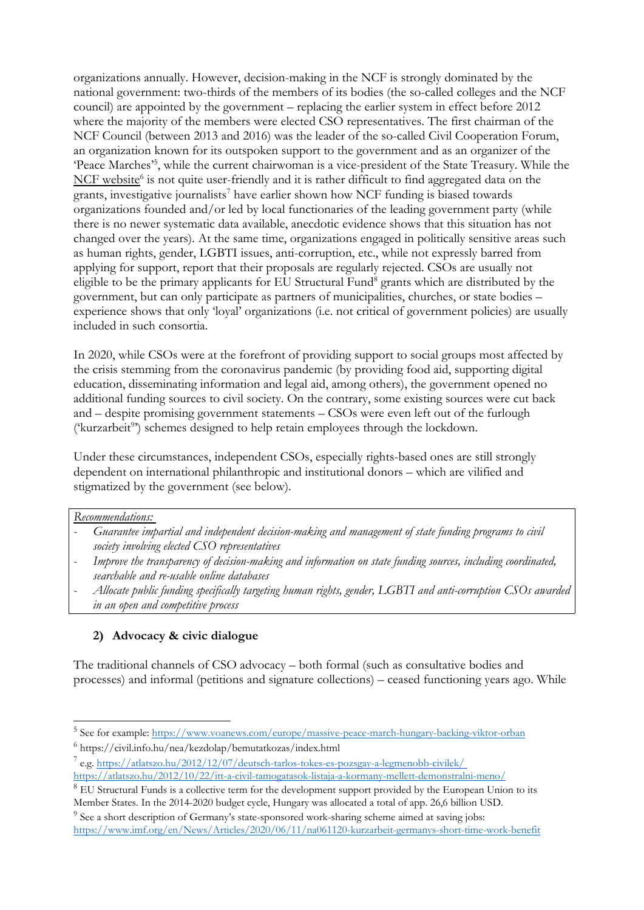organizations annually. However, decision-making in the NCF is strongly dominated by the national government: two-thirds of the members of its bodies (the so-called colleges and the NCF council) are appointed by the government – replacing the earlier system in effect before 2012 where the majority of the members were elected CSO representatives. The first chairman of the NCF Council (between 2013 and 2016) was the leader of the so-called Civil Cooperation Forum, an organization known for its outspoken support to the government and as an organizer of the 'Peace Marches' 5 , while the current chairwoman is <sup>a</sup> vice-president of the State Treasury. While the  $\overline{\text{NCF}}$  [website](https://civil.info.hu/nea/kezdolap/bemutatkozas/index.html)<sup>6</sup> is not quite user-friendly and it is rather difficult to find aggregated data on the grants, investigative journalists 7 have earlier shown how NCF funding is biased towards organizations founded and/or led by local functionaries of the leading government party (while there is no newer systematic data available, anecdotic evidence shows that this situation has not changed over the years). At the same time, organizations engaged in politically sensitive areas such as human rights, gender, LGBTI issues, anti-corruption, etc., while not expressly barred from applying for support, report that their proposals are regularly rejected. CSOs are usually not eligible to be the primary applicants for EU Structural Fund $^8$  grants which are distributed by the government, but can only participate as partners of municipalities, churches, or state bodies – experience shows that only 'loyal' organizations (i.e. not critical of government policies) are usually included in such consortia.

In 2020, while CSOs were at the forefront of providing support to social groups most affected by the crisis stemming from the coronavirus pandemic (by providing food aid, supporting digital education, disseminating information and legal aid, among others), the government opened no additional funding sources to civil society. On the contrary, some existing sources were cut back and – despite promising government statements – CSOs were even left out of the furlough ('kurzarbeit<sup>9</sup>') schemes designed to help retain employees through the lockdown.

Under these circumstances, independent CSOs, especially rights-based ones are still strongly dependent on international philanthropic and institutional donors – which are vilified and stigmatized by the government (see below).

#### *Recommendations:*

- *Guarantee impartial and independent decision-making and managemen<sup>t</sup> of state funding programs to civil society involving elected CSO representatives*
- *Improve the transparency of decision-making and information on state funding sources, including coordinated, searchable and re-usable online databases*
- *Allocate public funding specifically targeting human rights, gender, LGBTI and anti-corruption CSOs awarded in an open and competitive process*

### **2) Advocacy & civic dialogue**

The traditional channels of CSO advocacy – both formal (such as consultative bodies and processes) and informal (petitions and signature collections) – ceased functioning years ago. While

<sup>&</sup>lt;sup>5</sup> See for example: <https://www.voanews.com/europe/massive-peace-march-hungary-backing-viktor-orban>

<sup>6</sup> https://civil.info.hu/nea/kezdolap/bemutatkozas/index.html

<sup>7</sup> e.g. <https://atlatszo.hu/2012/12/07/deutsch-tarlos-tokes-es-pozsgay-a-legmenobb-civilek/> <https://atlatszo.hu/2012/10/22/itt-a-civil-tamogatasok-listaja-a-kormany-mellett-demonstralni-meno/>

<sup>&</sup>lt;sup>8</sup> EU Structural Funds is a collective term for the development support provided by the European Union to its Member States. In the 2014-2020 budget cycle, Hungary was allocated <sup>a</sup> total of app. 26,6 billion USD.

<sup>&</sup>lt;sup>9</sup> See a short description of Germany's state-sponsored work-sharing scheme aimed at saving jobs: <https://www.imf.org/en/News/Articles/2020/06/11/na061120-kurzarbeit-germanys-short-time-work-benefit>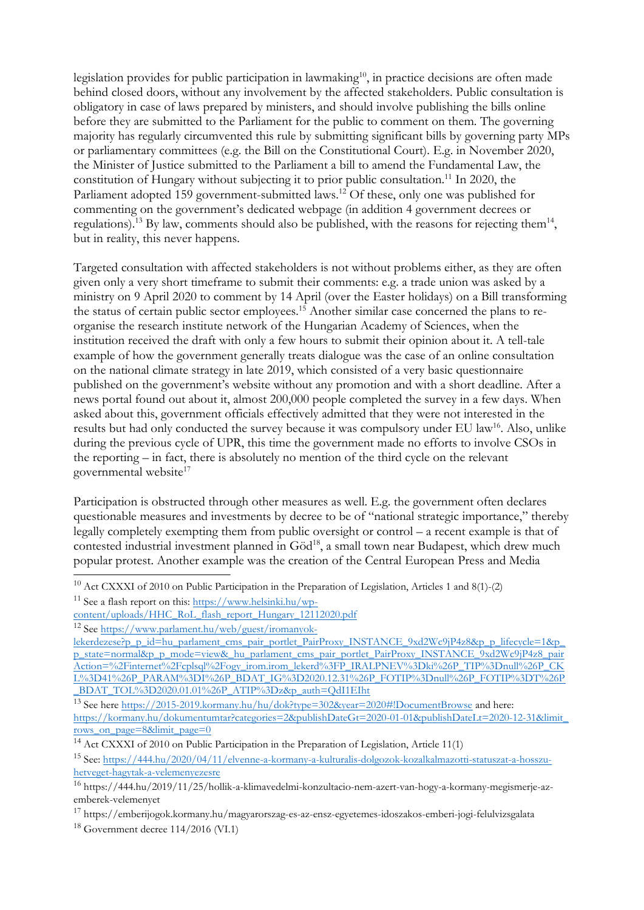legislation provides for public participation in lawmaking $^{10}$ , in practice decisions are often made behind closed doors, without any involvement by the affected stakeholders. Public consultation is obligatory in case of laws prepared by ministers, and should involve publishing the bills online before they are submitted to the Parliament for the public to comment on them. The governing majority has regularly circumvented this rule by submitting significant bills by governing party MPs or parliamentary committees (e.g. the Bill on the Constitutional Court). E.g. in November 2020, the Minister of Justice submitted to the Parliament <sup>a</sup> bill to amend the Fundamental Law, the constitution of Hungary without subjecting it to prior public consultation. 11 In 2020, the Parliament adopted 159 government-submitted laws.<sup>12</sup> Of these, only one was published for commenting on the government'<sup>s</sup> dedicated webpage (in addition 4 government decrees or regulations).<sup>13</sup> By law, comments should also be published, with the reasons for rejecting them<sup>14</sup>, but in reality, this never happens.

Targeted consultation with affected stakeholders is not without problems either, as they are often given only <sup>a</sup> very short timeframe to submit their comments: e.g. <sup>a</sup> trade union was asked by <sup>a</sup> ministry on 9 April 2020 to comment by 14 April (over the Easter holidays) on <sup>a</sup> Bill transforming the status of certain public sector employees. <sup>15</sup> Another similar case concerned the plans to reorganise the research institute network of the Hungarian Academy of Sciences, when the institution received the draft with only <sup>a</sup> few hours to submit their opinion about it. Atell-tale example of how the government generally treats dialogue was the case of an online consultation on the national climate strategy in late 2019, which consisted of <sup>a</sup> very basic questionnaire published on the government'<sup>s</sup> website without any promotion and with <sup>a</sup> short deadline. After <sup>a</sup> news portal found out about it, almost 200,000 people completed the survey in <sup>a</sup> few days. When asked about this, government officials effectively admitted that they were not interested in the results but had only conducted the survey because it was compulsory under EU law<sup>16</sup>. Also, unlike during the previous cycle of UPR, this time the government made no efforts to involve CSOs in the reporting – in fact, there is absolutely no mention of the third cycle on the relevant governmental website 17

Participation is obstructed through other measures as well. E.g. the government often declares questionable measures and investments by decree to be of "national strategic importance," thereby legally completely exempting them from public oversight or control – <sup>a</sup> recent example is that of contested industrial investment planned in  $Göd^{18}$ , a small town near Budapest, which drew much popular protest. Another example was the creation of the Central European Press and Media

<sup>&</sup>lt;sup>10</sup> Act CXXXI of 2010 on Public Participation in the Preparation of Legislation, Articles 1 and 8(1)-(2)

<sup>&</sup>lt;sup>11</sup> See a flash report on this: [https://www.helsinki.hu/wp-](https://www.helsinki.hu/wp-content/uploads/HHC_RoL_flash_report_Hungary_12112020.pdf)

[content/uploads/HHC\\_RoL\\_flash\\_report\\_Hungary\\_12112020.pdf](https://www.helsinki.hu/wp-content/uploads/HHC_RoL_flash_report_Hungary_12112020.pdf)

<sup>&</sup>lt;sup>12</sup> See [https://www.parlament.hu/web/guest/iromanyok-](https://www.parlament.hu/web/guest/iromanyok-lekerdezese?p_p_id=hu_parlament_cms_pair_portlet_PairProxy_INSTANCE_9xd2Wc9jP4z8&p_p_lifecycle=1&p_p_state=normal&p_p_mode=view&_hu_parlament_cms_pair_portlet_PairProxy_INSTANCE_9xd2Wc9jP4z8_pairAction=%2Finternet%2Fcplsql%2Fogy_irom.irom_lekerd%3FP_IRALPNEV%3Dki%26P_TIP%3Dnull%26P_CKL%3D41%26P_PARAM%3DI%26P_BDAT_IG%3D2020.12.31%26P_FOTIP%3Dnull%26P_FOTIP%3DT%26P_BDAT_TOL%3D2020.01.01%26P_ATIP%3Dz&p_auth=QdI1EIht)

[lekerdezese?p\\_p\\_id=hu\\_parlament\\_cms\\_pair\\_portlet\\_PairProxy\\_INSTANCE\\_9xd2Wc9jP4z8&p\\_p\\_lifecycle=1&p\\_](https://www.parlament.hu/web/guest/iromanyok-lekerdezese?p_p_id=hu_parlament_cms_pair_portlet_PairProxy_INSTANCE_9xd2Wc9jP4z8&p_p_lifecycle=1&p_p_state=normal&p_p_mode=view&_hu_parlament_cms_pair_portlet_PairProxy_INSTANCE_9xd2Wc9jP4z8_pairAction=%2Finternet%2Fcplsql%2Fogy_irom.irom_lekerd%3FP_IRALPNEV%3Dki%26P_TIP%3Dnull%26P_CKL%3D41%26P_PARAM%3DI%26P_BDAT_IG%3D2020.12.31%26P_FOTIP%3Dnull%26P_FOTIP%3DT%26P_BDAT_TOL%3D2020.01.01%26P_ATIP%3Dz&p_auth=QdI1EIht) p\_state=norma[l&p\\_p\\_mode=view&\\_hu\\_parlament\\_cms\\_pair\\_portlet\\_PairProxy\\_INSTANCE\\_9xd2Wc9jP4z8\\_pair](https://www.parlament.hu/web/guest/iromanyok-lekerdezese?p_p_id=hu_parlament_cms_pair_portlet_PairProxy_INSTANCE_9xd2Wc9jP4z8&p_p_lifecycle=1&p_p_state=normal&p_p_mode=view&_hu_parlament_cms_pair_portlet_PairProxy_INSTANCE_9xd2Wc9jP4z8_pairAction=%2Finternet%2Fcplsql%2Fogy_irom.irom_lekerd%3FP_IRALPNEV%3Dki%26P_TIP%3Dnull%26P_CKL%3D41%26P_PARAM%3DI%26P_BDAT_IG%3D2020.12.31%26P_FOTIP%3Dnull%26P_FOTIP%3DT%26P_BDAT_TOL%3D2020.01.01%26P_ATIP%3Dz&p_auth=QdI1EIht) [Action=%2Finternet%2Fcplsql%2Fogy\\_irom.irom\\_lekerd%3FP\\_IRALPNEV%3Dki%26P\\_TIP%3Dnull%26P\\_CK](https://www.parlament.hu/web/guest/iromanyok-lekerdezese?p_p_id=hu_parlament_cms_pair_portlet_PairProxy_INSTANCE_9xd2Wc9jP4z8&p_p_lifecycle=1&p_p_state=normal&p_p_mode=view&_hu_parlament_cms_pair_portlet_PairProxy_INSTANCE_9xd2Wc9jP4z8_pairAction=%2Finternet%2Fcplsql%2Fogy_irom.irom_lekerd%3FP_IRALPNEV%3Dki%26P_TIP%3Dnull%26P_CKL%3D41%26P_PARAM%3DI%26P_BDAT_IG%3D2020.12.31%26P_FOTIP%3Dnull%26P_FOTIP%3DT%26P_BDAT_TOL%3D2020.01.01%26P_ATIP%3Dz&p_auth=QdI1EIht) [L%3D41%26P\\_PARAM%3DI%26P\\_BDAT\\_IG%3D2020.12.31%26P\\_FOTIP%3Dnull%26P\\_FOTIP%3DT%26P](https://www.parlament.hu/web/guest/iromanyok-lekerdezese?p_p_id=hu_parlament_cms_pair_portlet_PairProxy_INSTANCE_9xd2Wc9jP4z8&p_p_lifecycle=1&p_p_state=normal&p_p_mode=view&_hu_parlament_cms_pair_portlet_PairProxy_INSTANCE_9xd2Wc9jP4z8_pairAction=%2Finternet%2Fcplsql%2Fogy_irom.irom_lekerd%3FP_IRALPNEV%3Dki%26P_TIP%3Dnull%26P_CKL%3D41%26P_PARAM%3DI%26P_BDAT_IG%3D2020.12.31%26P_FOTIP%3Dnull%26P_FOTIP%3DT%26P_BDAT_TOL%3D2020.01.01%26P_ATIP%3Dz&p_auth=QdI1EIht) \_[BDAT\\_TOL%3D2020.01.01%26P\\_ATIP%3Dz&p\\_auth=QdI1EIht](https://www.parlament.hu/web/guest/iromanyok-lekerdezese?p_p_id=hu_parlament_cms_pair_portlet_PairProxy_INSTANCE_9xd2Wc9jP4z8&p_p_lifecycle=1&p_p_state=normal&p_p_mode=view&_hu_parlament_cms_pair_portlet_PairProxy_INSTANCE_9xd2Wc9jP4z8_pairAction=%2Finternet%2Fcplsql%2Fogy_irom.irom_lekerd%3FP_IRALPNEV%3Dki%26P_TIP%3Dnull%26P_CKL%3D41%26P_PARAM%3DI%26P_BDAT_IG%3D2020.12.31%26P_FOTIP%3Dnull%26P_FOTIP%3DT%26P_BDAT_TOL%3D2020.01.01%26P_ATIP%3Dz&p_auth=QdI1EIht)

<sup>&</sup>lt;sup>13</sup> See here <https://2015-2019.kormany.hu/hu/dok?type=302&year=2020#!DocumentBrowse> and here: [https://kormany.hu/dokumentumtar?categories=2&publishDateGt=2020-01-01&publishDateLt=2020-12-31&limit\\_](https://kormany.hu/dokumentumtar?categories=2&publishDateGt=2020-01-01&publishDateLt=2020-12-31&limit_rows_on_page=8&limit_page=0) rows\_on\_page=[8&limit\\_page=0](https://kormany.hu/dokumentumtar?categories=2&publishDateGt=2020-01-01&publishDateLt=2020-12-31&limit_rows_on_page=8&limit_page=0)

<sup>&</sup>lt;sup>14</sup> Act CXXXI of 2010 on Public Participation in the Preparation of Legislation, Article 11(1)

<sup>&</sup>lt;sup>15</sup> See: <u>https://444.hu/2020/04/11/elvenne-a-kormany-a-kulturalis-dolgozok-kozalkalmazotti-statuszat-a-hosszu-</u> [hetveget-hagytak-a-velemenyezesre](https://444.hu/2020/04/11/elvenne-a-kormany-a-kulturalis-dolgozok-kozalkalmazotti-statuszat-a-hosszu-hetveget-hagytak-a-velemenyezesre)

<sup>&</sup>lt;sup>16</sup> https://444.hu/2019/11/25/hollik-a-klimavedelmi-konzultacio-nem-azert-van-hogy-a-kormany-megismerje-azemberek-velemenyet

<sup>&</sup>lt;sup>17</sup> https://emberijogok.kormany.hu/magyarorszag-es-az-ensz-egyetemes-idoszakos-emberi-jogi-felulvizsgalata

 $18$  Government decree 114/2016 (VI.1)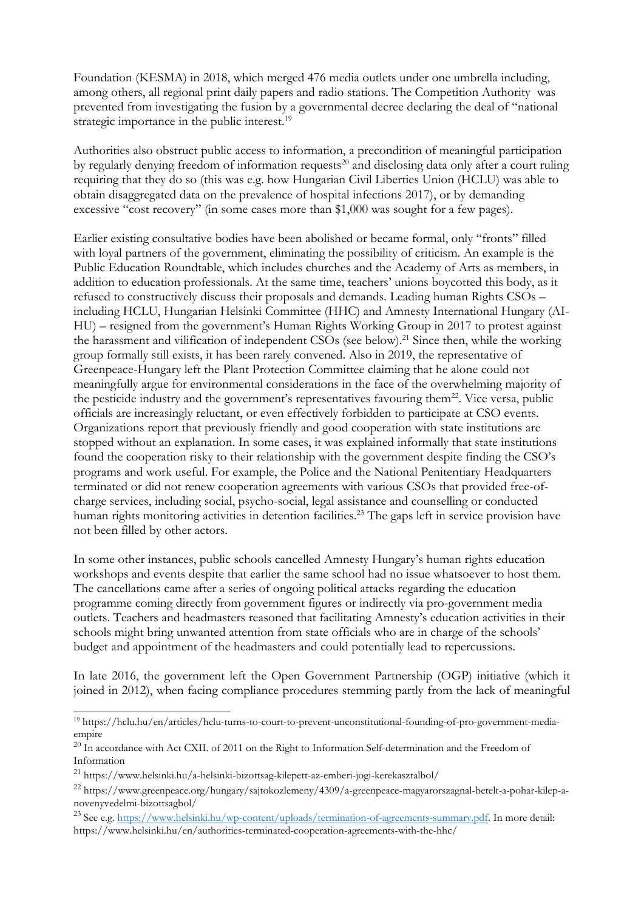Foundation (KESMA) in 2018, which merged 476 media outlets under one umbrella including, among others, all regional print daily papers and radio stations. The Competition Authority was prevented from investigating the fusion by <sup>a</sup> governmental decree declaring the deal of "national strategic importance in the public interest.<sup>19</sup>

Authorities also obstruct public access to information, <sup>a</sup> precondition of meaningful participation by regularly denying freedom of information requests 20 and disclosing data only after <sup>a</sup> court ruling requiring that they do so (this was e.g. how Hungarian Civil Liberties Union (HCLU) was able to obtain disaggregated data on the prevalence of hospital infections 2017), or by demanding excessive "cost recovery" (in some cases more than \$1,000 was sought for <sup>a</sup> few pages).

Earlier existing consultative bodies have been abolished or became formal, only "fronts" filled with loyal partners of the government, eliminating the possibility of criticism. An example is the Public Education Roundtable, which includes churches and the Academy of Arts as members, in addition to education professionals. At the same time, teachers' unions boycotted this body, as it refused to constructively discuss their proposals and demands. Leading human Rights CSOs – including HCLU, Hungarian Helsinki Committee (HHC) and Amnesty International Hungary (AI-HU) – resigned from the government'<sup>s</sup> Human Rights Working Group in 2017 to protest against the harassment and vilification of independent CSOs (see below).<sup>21</sup> Since then, while the working group formally still exists, it has been rarely convened. Also in 2019, the representative of Greenpeace-Hungary left the Plant Protection Committee claiming that he alone could not meaningfully argue for environmental considerations in the face of the overwhelming majority of the pesticide industry and the government's representatives favouring them<sup>22</sup>. Vice versa, public officials are increasingly reluctant, or even effectively forbidden to participate at CSO events. Organizations report that previously friendly and good cooperation with state institutions are stopped without an explanation. In some cases, it was explained informally that state institutions found the cooperation risky to their relationship with the government despite finding the CSO'<sup>s</sup> programs and work useful. For example, the Police and the National Penitentiary Headquarters terminated or did not renew cooperation agreements with various CSOs that provided free-ofcharge services, including social, psycho-social, legal assistance and counselling or conducted human rights monitoring activities in detention facilities. 23 The gaps left in service provision have not been filled by other actors.

In some other instances, public schools cancelled Amnesty Hungary'<sup>s</sup> human rights education workshops and events despite that earlier the same school had no issue whatsoever to host them. The cancellations came after <sup>a</sup> series of ongoing political attacks regarding the education programme coming directly from government figures or indirectly via pro-government media outlets. Teachers and headmasters reasoned that facilitating Amnesty'<sup>s</sup> education activities in their schools might bring unwanted attention from state officials who are in charge of the schools' budget and appointment of the headmasters and could potentially lead to repercussions.

In late 2016, the government left the Open Government Partnership (OGP) initiative (which it joined in 2012), when facing compliance procedures stemming partly from the lack of meaningful

<sup>19</sup> https://hclu.hu/en/articles/hclu-turns-to-court-to-prevent-unconstitutional-founding-of-pro-government-mediaempire

<sup>&</sup>lt;sup>20</sup> In accordance with Act CXII. of 2011 on the Right to Information Self-determination and the Freedom of Information

<sup>&</sup>lt;sup>21</sup> https://www.helsinki.hu/a-helsinki-bizottsag-kilepett-az-emberi-jogi-kerekasztalbol/

<sup>&</sup>lt;sup>22</sup> https://www.greenpeace.org/hungary/sajtokozlemeny/4309/a-greenpeace-magyarorszagnal-betelt-a-pohar-kilep-anovenyvedelmi-bizottsagbol/

<sup>&</sup>lt;sup>23</sup> See e.g. <https://www.helsinki.hu/wp-content/uploads/termination-of-agreements-summary.pdf>. In more detail: https://www.helsinki.hu/en/authorities-terminated-cooperation-agreements-with-the-hhc/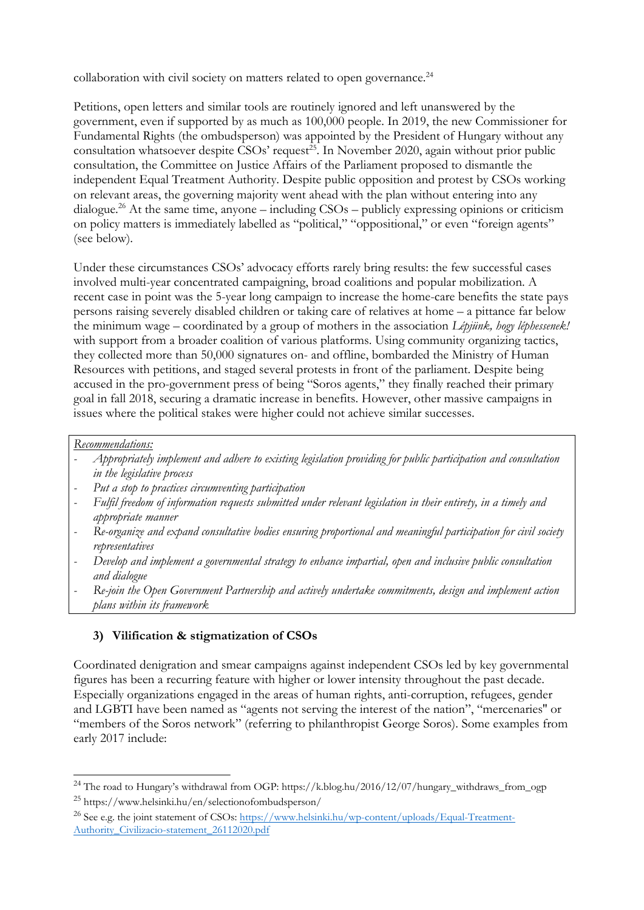collaboration with civil society on matters related to open governance.<sup>24</sup>

Petitions, open letters and similar tools are routinely ignored and left unanswered by the government, even if supported by as much as 100,000 people. In 2019, the new Commissioner for Fundamental Rights (the ombudsperson) was appointed by the President of Hungary without any consultation whatsoever despite CSOs' request<sup>25</sup>. In November 2020, again without prior public consultation, the Committee on Justice Affairs of the Parliament proposed to dismantle the independent Equal Treatment Authority. Despite public opposition and protest by CSOs working on relevant areas, the governing majority went ahead with the plan without entering into any dialogue. <sup>26</sup> At the same time, anyone – including CSOs – publicly expressing opinions or criticism on policy matters is immediately labelled as "political," "oppositional," or even "foreign agents" (see below).

Under these circumstances CSOs' advocacy efforts rarely bring results: the few successful cases involved multi-year concentrated campaigning, broad coalitions and popular mobilization. A recent case in point was the 5-year long campaign to increase the home-care benefits the state pays persons raising severely disabled children or taking care of relatives at home – <sup>a</sup> pittance far below the minimum wage – coordinated by <sup>a</sup> group of mothers in the association *Lépjünk, hogy léphessenek!* with support from a broader coalition of various platforms. Using community organizing tactics, they collected more than 50,000 signatures on- and offline, bombarded the Ministry of Human Resources with petitions, and staged several protests in front of the parliament. Despite being accused in the pro-government press of being "Soros agents," they finally reached their primary goal in fall 2018, securing <sup>a</sup> dramatic increase in benefits. However, other massive campaigns in issues where the political stakes were higher could not achieve similar successes.

### *Recommendations:*

- *Appropriately implement and adhere to existing legislation providing for public participation and consultation in the legislative process*
- *Put <sup>a</sup> stop to practices circumventing participation*
- *Fulfil freedom of information requests submitted under relevant legislation in their entirety, in <sup>a</sup> timely and appropriate manner*
- *Re-organize and expand consultative bodies ensuring proportional and meaningful participation for civil society representatives*
- *Develop and implement <sup>a</sup> governmental strategy to enhance impartial, open and inclusive public consultation and dialogue*
- *Re-join the Open Government Partnership and actively undertake commitments, design and implement action plans within its framework*

# **3) Vilification & stigmatization of CSOs**

Coordinated denigration and smear campaigns against independent CSOs led by key governmental figures has been <sup>a</sup> recurring feature with higher or lower intensity throughout the past decade. Especially organizations engaged in the areas of human rights, anti-corruption, refugees, gender and LGBTI have been named as "agents not serving the interest of the nation", "mercenaries'' or "members of the Soros network" (referring to philanthropist George Soros). Some examples from early 2017 include:

<sup>&</sup>lt;sup>24</sup> The road to Hungary's withdrawal from OGP: https://k.blog.hu/2016/12/07/hungary\_withdraws\_from\_ogp <sup>25</sup> https://www.helsinki.hu/en/selectionofombudsperson/

<sup>&</sup>lt;sup>26</sup> See e.g. the joint statement of CSOs: <u>https://www.helsinki.hu/wp-content/uploads/Equal-Treatment-</u> [Authority\\_Civilizacio-statement\\_26112020.pdf](https://www.helsinki.hu/wp-content/uploads/Equal-Treatment-Authority_Civilizacio-statement_26112020.pdf)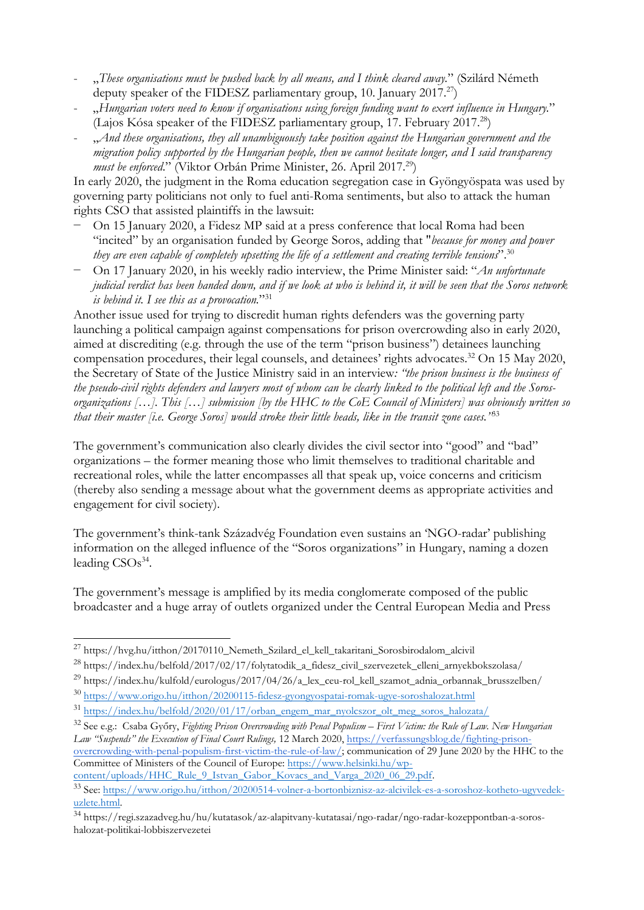- "*These organisations must be pushed back by all means, and I think cleared away.*" (Szilárd Németh deputy speaker of the FIDESZ parliamentary group, 10. January 2017.<sup>27</sup>)
- "Hungarian voters need to know if organisations using foreign funding want to exert influence in Hungary." (Lajos Kósa speaker of the FIDESZ parliamentary group, 17. February 2017.<sup>28</sup>)
- "*And these organisations, they all unambiguously take position against the Hungarian governmen<sup>t</sup> and the* migration policy supported by the Hungarian people, then we cannot hesitate longer, and I said transparency *must be enforced*." (Viktor Orbán Prime Minister, 26. April 2017. 29 )

In early 2020, the judgment in the Roma education segregation case in Gyöngyöspata was used by governing party politicians not only to fuel anti-Roma sentiments, but also to attack the human rights CSO that assisted plaintiffs in the lawsuit:

- On 15 January 2020, <sup>a</sup> Fidesz MP said at <sup>a</sup> press conference that local Roma had been "incited" by an organisation funded by George Soros, adding that "*because for money and power* they are even capable of completely upsetting the life of a settlement and creating terrible tensions".  $^{\text{30}}$
- − On 17 January 2020, in his weekly radio interview, the Prime Minister said: "*An unfortunate* judicial verdict has been handed down, and if we look at who is behind it, it will be seen that the Soros network *is behind it. <sup>I</sup> see this as <sup>a</sup> provocation.*"<sup>31</sup>

Another issue used for trying to discredit human rights defenders was the governing party launching <sup>a</sup> political campaign against compensations for prison overcrowding also in early 2020, aimed at discrediting (e.g. through the use of the term "prison business") detainees launching compensation procedures, their legal counsels, and detainees' rights advocates. <sup>32</sup> On <sup>15</sup> May 2020, the Secretary of State of the Justice Ministry said in an interview*: "the prison business is the business of* the pseudo-civil rights defenders and lawyers most of whom can be clearly linked to the political left and the Sorosorganizations [...]. This [...] submission [by the HHC to the CoE Council of Ministers] was obviously written so that their master [i.e. George Soros] would stroke their little heads, like in the transit zone cases.''<sup>33</sup>

The government'<sup>s</sup> communication also clearly divides the civil sector into "good" and "bad" organizations – the former meaning those who limit themselves to traditional charitable and recreational roles, while the latter encompasses all that speak up, voice concerns and criticism (thereby also sending <sup>a</sup> message about what the government deems as appropriate activities and engagement for civil society).

The government'<sup>s</sup> think-tank Századvég Foundation even sustains an 'NGO-radar' publishing information on the alleged influence of the "Soros organizations" in Hungary, naming <sup>a</sup> dozen leading CSOs 34 .

The government'<sup>s</sup> message is amplified by its media conglomerate composed of the public broadcaster and <sup>a</sup> huge array of outlets organized under the Central European Media and Press

<sup>28</sup> https://index.hu/belfold/2017/02/17/folytatodik\_a\_fidesz\_civil\_szervezetek\_elleni\_arnyekbokszolasa/

<sup>30</sup> <https://www.origo.hu/itthon/20200115-fidesz-gyongyospatai-romak-ugye-soroshalozat.html>

Committee of Ministers of the Council of Europe: [https://www.helsinki.hu/wp](https://www.helsinki.hu/wp-content/uploads/HHC_Rule_9_Istvan_Gabor_Kovacs_and_Varga_2020_06_29.pdf)[content/uploads/HHC\\_Rule\\_9\\_Istvan\\_Gabor\\_Kovacs\\_and\\_Varga\\_2020\\_06\\_29.pdf](https://www.helsinki.hu/wp-content/uploads/HHC_Rule_9_Istvan_Gabor_Kovacs_and_Varga_2020_06_29.pdf).

<sup>&</sup>lt;sup>27</sup> https://hvg.hu/itthon/20170110\_Nemeth\_Szilard\_el\_kell\_takaritani\_Sorosbirodalom\_alcivil

<sup>&</sup>lt;sup>29</sup> https://index.hu/kulfold/eurologus/2017/04/26/a\_lex\_ceu-rol\_kell\_szamot\_adnia\_orbannak\_brusszelben/

<sup>&</sup>lt;sup>31</sup> [https://index.hu/belfold/2020/01/17/orban\\_engem\\_mar\\_nyolcszor\\_olt\\_meg\\_soros\\_halozata/](https://index.hu/belfold/2020/01/17/orban_engem_mar_nyolcszor_olt_meg_soros_halozata/)

<sup>&</sup>lt;sup>32</sup> See e.g.: [Csaba](https://verfassungsblog.de/fighting-prison-overcrowding-with-penal-populism-first-victim-the-rule-of-law/) Győry, Fighting Prison [Overcrowding](https://verfassungsblog.de/fighting-prison-overcrowding-with-penal-populism-first-victim-the-rule-of-law/) with Penal Populism – First Victim: the Rule of Law. New Hungarian *Law "[Suspends](https://verfassungsblog.de/fighting-prison-overcrowding-with-penal-populism-first-victim-the-rule-of-law/)" the Execution of Final Court Rulings,* <sup>12</sup> March [2020,](https://verfassungsblog.de/fighting-prison-overcrowding-with-penal-populism-first-victim-the-rule-of-law/) [https://verfassungsblog.de/fighting-prison](https://verfassungsblog.de/fighting-prison-overcrowding-with-penal-populism-first-victim-the-rule-of-law/)[overcrowding-with-penal-populism-first-victim-the-rule-of-law/](https://verfassungsblog.de/fighting-prison-overcrowding-with-penal-populism-first-victim-the-rule-of-law/); communication of <sup>29</sup> June <sup>2020</sup> by the HHC to the

<sup>&</sup>lt;sup>33</sup> See: [https://www.origo.hu/itthon/20200514-volner-a-bortonbiznisz-az-alcivilek-es-a-soroshoz-kotheto-ugyvedek](https://www.origo.hu/itthon/20200514-volner-a-bortonbiznisz-az-alcivilek-es-a-soroshoz-kotheto-ugyvedek-uzlete.html)[uzlete.html](https://www.origo.hu/itthon/20200514-volner-a-bortonbiznisz-az-alcivilek-es-a-soroshoz-kotheto-ugyvedek-uzlete.html).

<sup>&</sup>lt;sup>34</sup> https://regi.szazadveg.hu/hu/kutatasok/az-alapitvany-kutatasai/ngo-radar/ngo-radar-kozeppontban-a-soroshalozat-politikai-lobbiszervezetei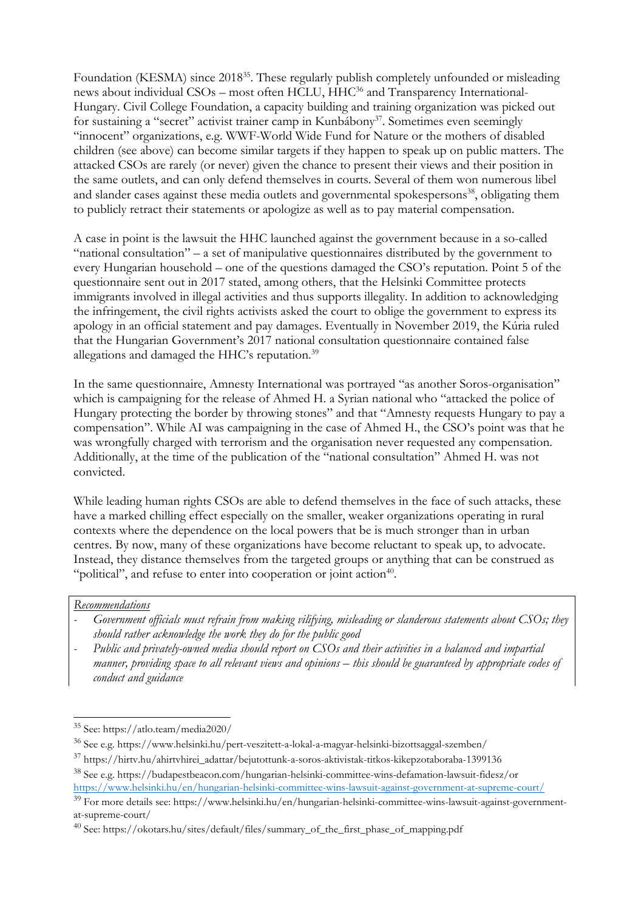Foundation (KESMA) since 2018<sup>35</sup>. These regularly publish completely unfounded or misleading news about individual CSOs – most often HCLU, HHC<sup>36</sup> and Transparency International-Hungary. Civil College Foundation, <sup>a</sup> capacity building and training organization was picked out for sustaining a "secret" activist trainer camp in Kunbábony<sup>37</sup>. Sometimes even seemingly "innocent" organizations, e.g. WWF-World Wide Fund for Nature or the mothers of disabled children (see above) can become similar targets if they happen to speak up on public matters. The attacked CSOs are rarely (or never) given the chance to present their views and their position in the same outlets, and can only defend themselves in courts. Several of them won numerous libel and slander cases against these media outlets and governmental spokespersons<sup>38</sup>, obligating them to publicly retract their statements or apologize as well as to pay material compensation.

A case in point is the lawsuit the HHC launched against the government because in <sup>a</sup> so-called "national consultation" – <sup>a</sup> set of manipulative questionnaires distributed by the government to every Hungarian household – one of the questions damaged the CSO'<sup>s</sup> reputation. Point 5 of the questionnaire sent out in 2017 stated, among others, that the Helsinki Committee protects immigrants involved in illegal activities and thus supports illegality. In addition to acknowledging the infringement, the civil rights activists asked the court to oblige the government to express its apology in an official statement and pay damages. Eventually in November 2019, the Kúria ruled that the Hungarian Government'<sup>s</sup> 2017 national consultation questionnaire contained false allegations and damaged the HHC's reputation. $^{\rm 39}$ 

In the same questionnaire, Amnesty International was portrayed "as another Soros-organisation" which is campaigning for the release of Ahmed H. <sup>a</sup> Syrian national who "attacked the police of Hungary protecting the border by throwing stones" and that "Amnesty requests Hungary to pay <sup>a</sup> compensation". While AI was campaigning in the case of Ahmed H., the CSO'<sup>s</sup> point was that he was wrongfully charged with terrorism and the organisation never requested any compensation. Additionally, at the time of the publication of the "national consultation" Ahmed H. was not convicted.

While leading human rights CSOs are able to defend themselves in the face of such attacks, these have <sup>a</sup> marked chilling effect especially on the smaller, weaker organizations operating in rural contexts where the dependence on the local powers that be is much stronger than in urban centres. By now, many of these organizations have become reluctant to speak up, to advocate. Instead, they distance themselves from the targeted groups or anything that can be construed as "political", and refuse to enter into cooperation or joint action $40$ .

#### *Recommendations*

- *Government officials must refrain from making vilifying, misleading or slanderous statements about CSOs; they should rather acknowledge the work they do for the public good*
- *Public and privately-owned media should report on CSOs and their activities in <sup>a</sup> balanced and impartial* manner, providing space to all relevant views and opinions – this should be guaranteed by appropriate codes of *conduct and guidance*

<sup>35</sup> See: https://atlo.team/media2020/

<sup>&</sup>lt;sup>36</sup> See e.g. https://www.helsinki.hu/pert-veszitett-a-lokal-a-magyar-helsinki-bizottsaggal-szemben/

<sup>&</sup>lt;sup>37</sup> https://hirtv.hu/ahirtvhirei\_adattar/bejutottunk-a-soros-aktivistak-titkos-kikepzotaboraba-1399136

<sup>&</sup>lt;sup>38</sup> See e.g. https://budapestbeacon.com/hungarian-helsinki-committee-wins-defamation-lawsuit-fidesz/or <https://www.helsinki.hu/en/hungarian-helsinki-committee-wins-lawsuit-against-government-at-supreme-court/>

<sup>&</sup>lt;sup>39</sup> For more details see: https://www.helsinki.hu/en/hungarian-helsinki-committee-wins-lawsuit-against-governmentat-supreme-court/

<sup>&</sup>lt;sup>40</sup> See: https://okotars.hu/sites/default/files/summary\_of\_the\_first\_phase\_of\_mapping.pdf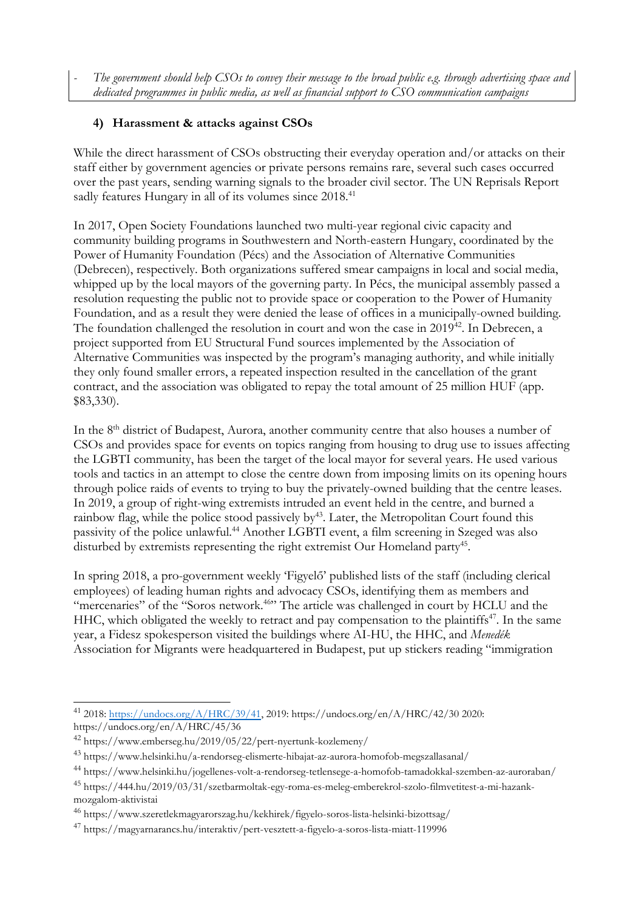The government should help CSOs to convey their message to the broad public e.g. through advertising space and *dedicated programmes in public media, as well as financial support to CSO communication campaigns*

### **4) Harassment & attacks against CSOs**

While the direct harassment of CSOs obstructing their everyday operation and/or attacks on their staff either by government agencies or private persons remains rare, several such cases occurred over the past years, sending warning signals to the broader civil sector. The UN Reprisals Report sadly features Hungary in all of its volumes since 2018. 41

In 2017, Open Society Foundations launched two multi-year regional civic capacity and community building programs in Southwestern and North-eastern Hungary, coordinated by the Power of Humanity Foundation (Pécs) and the Association of Alternative Communities (Debrecen), respectively. Both organizations suffered smear campaigns in local and social media, whipped up by the local mayors of the governing party. In Pécs, the municipal assembly passed <sup>a</sup> resolution requesting the public not to provide space or cooperation to the Power of Humanity Foundation, and as <sup>a</sup> result they were denied the lease of offices in <sup>a</sup> municipally-owned building. The foundation challenged the resolution in court and won the case in 2019<sup>42</sup>. In Debrecen, a project supported from EU Structural Fund sources implemented by the Association of Alternative Communities was inspected by the program'<sup>s</sup> managing authority, and while initially they only found smaller errors, <sup>a</sup> repeated inspection resulted in the cancellation of the grant contract, and the association was obligated to repay the total amount of 25 million HUF (app. \$83,330).

In the 8<sup>th</sup> district of Budapest, Aurora, another community centre that also houses a number of CSOs and provides space for events on topics ranging from housing to drug use to issues affecting the LGBTI community, has been the target of the local mayor for several years. He used various tools and tactics in an attempt to close the centre down from imposing limits on its opening hours through police raids of events to trying to buy the privately-owned building that the centre leases. In 2019, <sup>a</sup> group of right-wing extremists intruded an event held in the centre, and burned <sup>a</sup> rainbow flag, while the police stood passively by 43 . Later, the Metropolitan Court found this passivity of the police unlawful. <sup>44</sup> Another LGBTI event, <sup>a</sup> film screening in Szeged was also disturbed by extremists representing the right extremist Our Homeland party 45 .

In spring 2018, <sup>a</sup> pro-government weekly 'Figyelő' published lists of the staff (including clerical employees) of leading human rights and advocacy CSOs, identifying them as members and "mercenaries" of the "Soros network. 46 " The article was challenged in court by HCLU and the HHC, which obligated the weekly to retract and pay compensation to the plaintiffs 47 . In the same year, <sup>a</sup> Fidesz spokesperson visited the buildings where AI-HU, the HHC, and *Menedék* Association for Migrants were headquartered in Budapest, put up stickers reading "immigration

<sup>&</sup>lt;sup>41</sup> 2018: <u><https://undocs.org/A/HRC/39/41></u>, 2019: https://undocs.org/en/A/HRC/42/30 2020: https://undocs.org/en/A/HRC/45/36

<sup>42</sup> https://www.emberseg.hu/2019/05/22/pert-nyertunk-kozlemeny/

<sup>&</sup>lt;sup>43</sup> https://www.helsinki.hu/a-rendorseg-elismerte-hibajat-az-aurora-homofob-megszallasanal/

<sup>44</sup> https://www.helsinki.hu/jogellenes-volt-a-rendorseg-tetlensege-a-homofob-tamadokkal-szemben-az-auroraban/

<sup>&</sup>lt;sup>45</sup> https://444.hu/2019/03/31/szetbarmoltak-egy-roma-es-meleg-emberekrol-szolo-filmvetitest-a-mi-hazankmozgalom-aktivistai

<sup>&</sup>lt;sup>46</sup> https://www.szeretlekmagyarorszag.hu/kekhirek/figyelo-soros-lista-helsinki-bizottsag/

<sup>47</sup> https://magyarnarancs.hu/interaktiv/pert-vesztett-a-figyelo-a-soros-lista-miatt-119996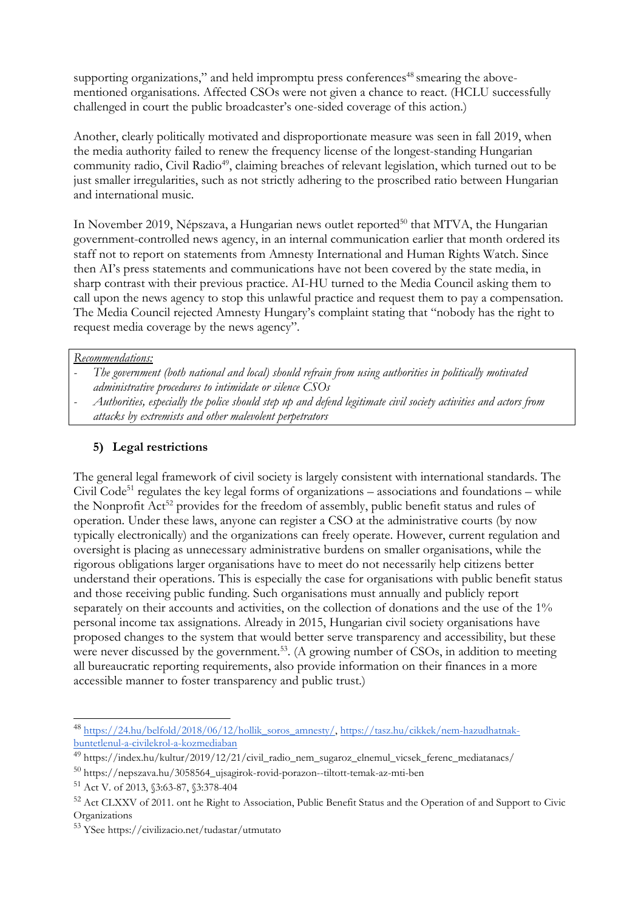supporting organizations," and held impromptu press conferences 48 smearing the abovementioned organisations. Affected CSOs were not given <sup>a</sup> chance to react. (HCLU successfully challenged in court the public broadcaster'<sup>s</sup> one-sided coverage of this action.)

Another, clearly politically motivated and disproportionate measure was seen in fall 2019, when the media authority failed to renew the frequency license of the longest-standing Hungarian community radio, Civil Radio<sup>49</sup>, claiming breaches of relevant legislation, which turned out to be just smaller irregularities, such as not strictly adhering to the proscribed ratio between Hungarian and international music.

In November 2019, Népszava, a Hungarian news outlet reported<sup>50</sup> that MTVA, the Hungarian government-controlled news agency, in an internal communication earlier that month ordered its staff not to report on statements from Amnesty International and Human Rights Watch. Since then AI'<sup>s</sup> press statements and communications have not been covered by the state media, in sharp contrast with their previous practice. AI-HU turned to the Media Council asking them to call upon the news agency to stop this unlawful practice and request them to pay <sup>a</sup> compensation. The Media Council rejected Amnesty Hungary'<sup>s</sup> complaint stating that "nobody has the right to request media coverage by the news agency".

*Recommendations:*

- *The governmen<sup>t</sup> (both national and local) should refrain from using authorities in politically motivated administrative procedures to intimidate or silence CSOs*
- Authorities, especially the police should step up and defend legitimate civil society activities and actors from *attacks by extremists and other malevolent perpetrators*

# **5) Legal restrictions**

The general legal framework of civil society is largely consistent with international standards. The Civil Code<sup>51</sup> regulates the key legal forms of organizations – associations and foundations – while the Nonprofit Act<sup>52</sup> provides for the freedom of assembly, public benefit status and rules of operation. Under these laws, anyone can register <sup>a</sup> CSO at the administrative courts (by now typically electronically) and the organizations can freely operate. However, current regulation and oversight is placing as unnecessary administrative burdens on smaller organisations, while the rigorous obligations larger organisations have to meet do not necessarily help citizens better understand their operations. This is especially the case for organisations with public benefit status and those receiving public funding. Such organisations must annually and publicly report separately on their accounts and activities, on the collection of donations and the use of the 1% personal income tax assignations. Already in 2015, Hungarian civil society organisations have proposed changes to the system that would better serve transparency and accessibility, but these were never discussed by the government.<sup>53</sup>. (A growing number of CSOs, in addition to meeting all bureaucratic reporting requirements, also provide information on their finances in <sup>a</sup> more accessible manner to foster transparency and public trust.)

<sup>&</sup>lt;sup>48</sup> [https://24.hu/belfold/2018/06/12/hollik\\_soros\\_amnesty/](https://24.hu/belfold/2018/06/12/hollik_soros_amnesty/), [https://tasz.hu/cikkek/nem-hazudhatnak](https://tasz.hu/cikkek/nem-hazudhatnak-buntetlenul-a-civilekrol-a-kozmediaban)[buntetlenul-a-civilekrol-a-kozmediaban](https://tasz.hu/cikkek/nem-hazudhatnak-buntetlenul-a-civilekrol-a-kozmediaban)

<sup>&</sup>lt;sup>49</sup> https://index.hu/kultur/2019/12/21/civil\_radio\_nem\_sugaroz\_elnemul\_vicsek\_ferenc\_mediatanacs/

<sup>50</sup> https://nepszava.hu/3058564\_ujsagirok-rovid-porazon--tiltott-temak-az-mti-ben

<sup>51</sup> Act V. of 2013, §3:63-87, §3:378-404

<sup>&</sup>lt;sup>52</sup> Act CLXXV of 2011. ont he Right to Association, Public Benefit Status and the Operation of and Support to Civic Organizations

<sup>53</sup> YSee https://civilizacio.net/tudastar/utmutato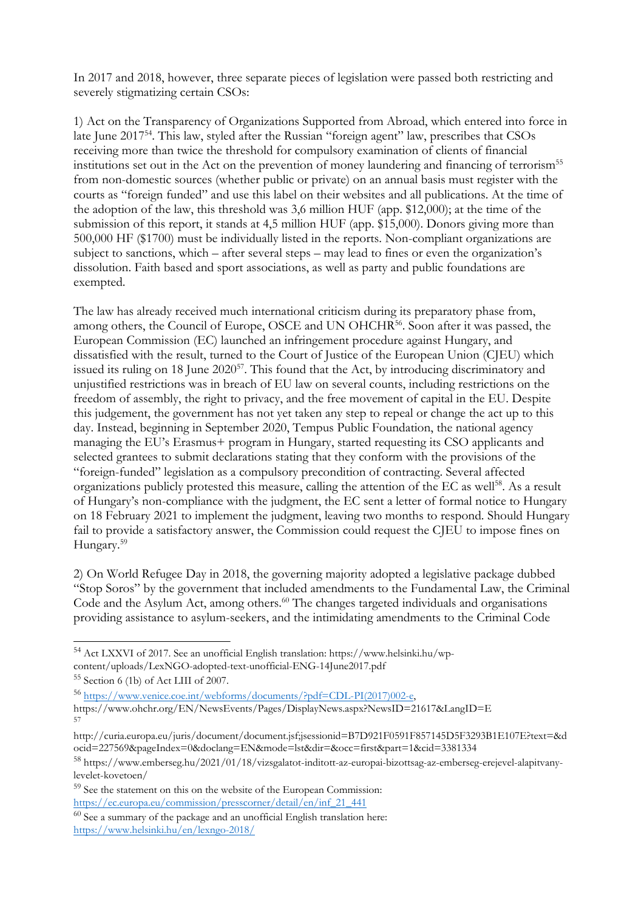In 2017 and 2018, however, three separate pieces of legislation were passed both restricting and severely stigmatizing certain CSOs:

1) Act on the Transparency of Organizations Supported from Abroad, which entered into force in late June 2017<sup>54</sup>. This law, styled after the Russian ''foreign agent'' law, prescribes that CSOs receiving more than twice the threshold for compulsory examination of clients of financial institutions set out in the Act on the prevention of money laundering and financing of terrorism<sup>55</sup> from non-domestic sources (whether public or private) on an annual basis must register with the courts as "foreign funded" and use this label on their websites and all publications. At the time of the adoption of the law, this threshold was 3,6 million HUF (app. \$12,000); at the time of the submission of this report, it stands at 4,5 million HUF (app. \$15,000). Donors giving more than 500,000 HF (\$1700) must be individually listed in the reports. Non-compliant organizations are subject to sanctions, which – after several steps – may lead to fines or even the organization'<sup>s</sup> dissolution. Faith based and sport associations, as well as party and public foundations are exempted.

The law has already received much international criticism during its preparatory phase from, among others, the Council of Europe, OSCE and UN OHCHR<sup>56</sup>. Soon after it was passed, the European Commission (EC) launched an infringement procedure against Hungary, and dissatisfied with the result, turned to the Court of Justice of the European Union (CJEU) which issued its ruling on 18 June 2020 $^{57}$ . This found that the Act, by introducing discriminatory and unjustified restrictions was in breach of EU law on several counts, including restrictions on the freedom of assembly, the right to privacy, and the free movement of capital in the EU. Despite this judgement, the government has not ye<sup>t</sup> taken any step to repeal or change the act up to this day. Instead, beginning in September 2020, Tempus Public Foundation, the national agency managing the EU'<sup>s</sup> Erasmus+ program in Hungary, started requesting its CSO applicants and selected grantees to submit declarations stating that they conform with the provisions of the "foreign-funded" legislation as <sup>a</sup> compulsory precondition of contracting. Several affected organizations publicly protested this measure, calling the attention of the EC as well 58 . As <sup>a</sup> result of Hungary'<sup>s</sup> non-compliance with the judgment, the EC sent <sup>a</sup> letter of formal notice to Hungary on 18 February 2021 to implement the judgment, leaving two months to respond. Should Hungary fail to provide <sup>a</sup> satisfactory answer, the Commission could request the CJEU to impose fines on Hungary. 59

2) On World Refugee Day in 2018, the governing majority adopted <sup>a</sup> legislative package dubbed "Stop Soros" by the government that included amendments to the Fundamental Law, the Criminal Code and the Asylum Act, among others. 60 The changes targeted individuals and organisations providing assistance to asylum-seekers, and the intimidating amendments to the Criminal Code

<sup>54</sup> Act LXXVI of 2017. See an unofficial English translation: https://www.helsinki.hu/wpcontent/uploads/LexNGO-adopted-text-unofficial-ENG-14June2017.pdf 55 Section 6 (1b) of Act LIII of 2007.

<sup>56</sup> [https://www.venice.coe.int/webforms/documents/?pdf=CDL-PI\(2017\)002-e,](https://www.venice.coe.int/webforms/documents/?pdf=CDL-PI(2017)002-e)

https://www.ohchr.org/EN/NewsEvents/Pages/DisplayNews.aspx?NewsID=21617&LangID=E 57

<sup>59</sup> See the statement on this on the website of the European Commission: [https://ec.europa.eu/commission/presscorner/detail/en/inf\\_21\\_441](https://ec.europa.eu/commission/presscorner/detail/en/inf_21_441)

http://curia.europa.eu/juris/document/document.jsf;jsessionid=B7D921F0591F857145D5F3293B1E107E?text=&d ocid=227569&pageIndex=0&doclang=EN&mode=lst&dir=&occ=first&part=1&cid=3381334

<sup>&</sup>lt;sup>58</sup> https://www.emberseg.hu/2021/01/18/vizsgalatot-inditott-az-europai-bizottsag-az-emberseg-erejevel-alapitvanylevelet-kovetoen/

 $^{60}$  See a summary of the package and an unofficial English translation here: <https://www.helsinki.hu/en/lexngo-2018/>